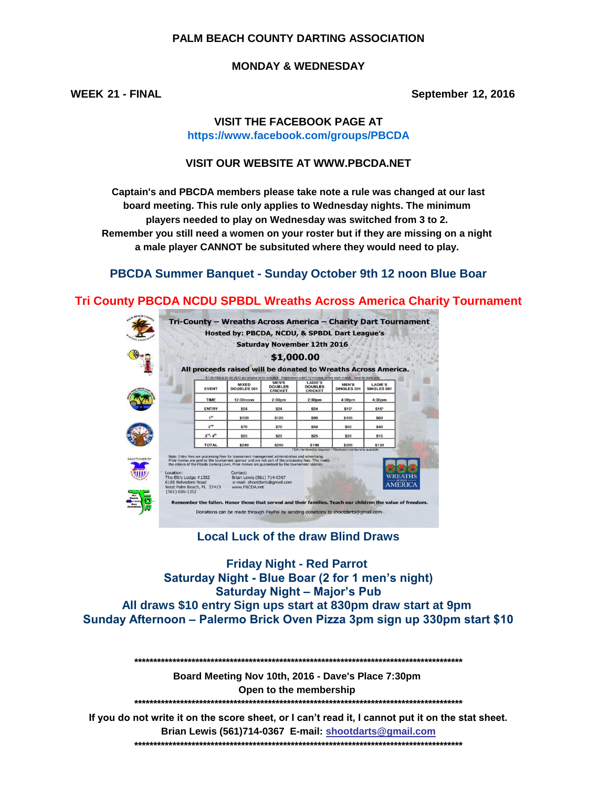#### **PALM BEACH COUNTY DARTING ASSOCIATION**

#### **MONDAY & WEDNESDAY**

**WEEK 21 - FINAL September 12, 2016**

## **VISIT THE FACEBOOK PAGE AT https://www.facebook.com/groups/PBCDA**

#### **VISIT OUR WEBSITE AT WWW.PBCDA.NET**

**Captain's and PBCDA members please take note a rule was changed at our last board meeting. This rule only applies to Wednesday nights. The minimum players needed to play on Wednesday was switched from 3 to 2. a male player CANNOT be subsituted where they would need to play. Remember you still need a women on your roster but if they are missing on a night** 

# **PBCDA Summer Banquet - Sunday October 9th 12 noon Blue Boar**

## **Tri County PBCDA NCDU SPBDL Wreaths Across America Charity Tournament**



**Local Luck of the draw Blind Draws**

**Friday Night - Red Parrot Saturday Night - Blue Boar (2 for 1 men's night) Saturday Night – Major's Pub All draws \$10 entry Sign ups start at 830pm draw start at 9pm Sunday Afternoon – Palermo Brick Oven Pizza 3pm sign up 330pm start \$10**

**\*\*\*\*\*\*\*\*\*\*\*\*\*\*\*\*\*\*\*\*\*\*\*\*\*\*\*\*\*\*\*\*\*\*\*\*\*\*\*\*\*\*\*\*\*\*\*\*\*\*\*\*\*\*\*\*\*\*\*\*\*\*\*\*\*\*\*\*\*\*\*\*\*\*\*\*\*\*\*\*\*\*\*\*\*\***

**Board Meeting Nov 10th, 2016 - Dave's Place 7:30pm Open to the membership** 

**\*\*\*\*\*\*\*\*\*\*\*\*\*\*\*\*\*\*\*\*\*\*\*\*\*\*\*\*\*\*\*\*\*\*\*\*\*\*\*\*\*\*\*\*\*\*\*\*\*\*\*\*\*\*\*\*\*\*\*\*\*\*\*\*\*\*\*\*\*\*\*\*\*\*\*\*\*\*\*\*\*\*\*\*\*\***

**Brian Lewis (561)714-0367 E-mail: shootdarts@gmail.com \*\*\*\*\*\*\*\*\*\*\*\*\*\*\*\*\*\*\*\*\*\*\*\*\*\*\*\*\*\*\*\*\*\*\*\*\*\*\*\*\*\*\*\*\*\*\*\*\*\*\*\*\*\*\*\*\*\*\*\*\*\*\*\*\*\*\*\*\*\*\*\*\*\*\*\*\*\*\*\*\*\*\*\*\*\* If you do not write it on the score sheet, or I can't read it, I cannot put it on the stat sheet.**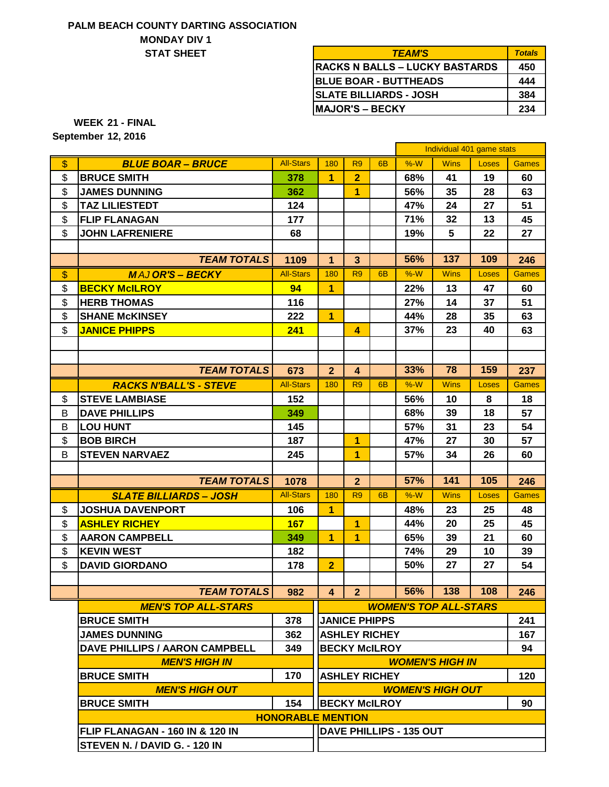## **PALM BEACH COUNTY DARTING ASSOCIATION STAT SHEET MONDAY DIV 1**

| <i><b>TEAM'S</b></i>                  | <b>Totals</b> |
|---------------------------------------|---------------|
| <b>RACKS N BALLS – LUCKY BASTARDS</b> | 450           |
| <b>BLUE BOAR - BUTTHEADS</b>          | 444           |
| <b>SLATE BILLIARDS - JOSH</b>         | 384           |
| IMAJOR'S – BECKY                      | 234           |

**21 - FINAL WEEK**

**12, 2016 September**

|               |                                 |                          |                         |                         |                        |                         | Individual 401 game stats    |       |              |
|---------------|---------------------------------|--------------------------|-------------------------|-------------------------|------------------------|-------------------------|------------------------------|-------|--------------|
| \$            | <b>BLUE BOAR - BRUCE</b>        | <b>All-Stars</b>         | 180                     | R <sub>9</sub>          | 6 <sub>B</sub>         | $%-W$                   | <b>Wins</b>                  | Loses | <b>Games</b> |
| \$            | <b>BRUCE SMITH</b>              | 378                      | $\overline{1}$          | $\overline{2}$          |                        | 68%                     | 41                           | 19    | 60           |
| \$            | <b>JAMES DUNNING</b>            | 362                      |                         | 1                       |                        | 56%                     | 35                           | 28    | 63           |
| \$            | <b>TAZ LILIESTEDT</b>           | 124                      |                         |                         |                        | 47%                     | 24                           | 27    | 51           |
| \$            | <b>FLIP FLANAGAN</b>            | 177                      |                         |                         |                        | 71%                     | 32                           | 13    | 45           |
| \$            | <b>JOHN LAFRENIERE</b>          | 68                       |                         |                         |                        | 19%                     | 5                            | 22    | 27           |
|               |                                 |                          |                         |                         |                        |                         |                              |       |              |
|               | <b>TEAM TOTALS</b>              | 1109                     | $\mathbf{1}$            | $\overline{\mathbf{3}}$ |                        | 56%                     | 137                          | 109   | 246          |
| $\mathsf{\$}$ | <b>MAJOR'S - BECKY</b>          | <b>All-Stars</b>         | 180                     | R <sub>9</sub>          | 6 <sub>B</sub>         | $%-W$                   | <b>Wins</b>                  | Loses | <b>Games</b> |
| \$            | <b>BECKY McILROY</b>            | 94                       | 1                       |                         |                        | 22%                     | 13                           | 47    | 60           |
| \$            | <b>HERB THOMAS</b>              | 116                      |                         |                         |                        | 27%                     | 14                           | 37    | 51           |
| \$            | <b>SHANE McKINSEY</b>           | 222                      | $\overline{1}$          |                         |                        | 44%                     | 28                           | 35    | 63           |
| \$            | <b>JANICE PHIPPS</b>            | 241                      |                         | $\overline{\mathbf{A}}$ |                        | 37%                     | 23                           | 40    | 63           |
|               |                                 |                          |                         |                         |                        |                         |                              |       |              |
|               |                                 |                          |                         |                         |                        |                         |                              |       |              |
|               | <b>TEAM TOTALS</b>              | 673                      | 2 <sup>2</sup>          | $\overline{\mathbf{4}}$ |                        | 33%                     | 78                           | 159   | 237          |
|               | <b>RACKS N'BALL'S - STEVE</b>   | <b>All-Stars</b>         | 180                     | R <sub>9</sub>          | 6 <sub>B</sub>         | $%-W$                   | <b>Wins</b>                  | Loses | <b>Games</b> |
| \$            | <b>STEVE LAMBIASE</b>           | 152                      |                         |                         |                        | 56%                     | 10                           | 8     | 18           |
| B             | <b>DAVE PHILLIPS</b>            | 349                      |                         |                         |                        | 68%                     | 39                           | 18    | 57           |
| В             | <b>LOU HUNT</b>                 | 145                      |                         |                         |                        | 57%                     | 31                           | 23    | 54           |
| \$            | <b>BOB BIRCH</b>                | 187                      |                         | 1                       |                        | 47%                     | 27                           | 30    | 57           |
| B             | <b>STEVEN NARVAEZ</b>           | 245                      |                         | $\overline{1}$          |                        | 57%                     | 34                           | 26    | 60           |
|               |                                 |                          |                         |                         |                        |                         |                              |       |              |
|               | <b>TEAM TOTALS</b>              | 1078                     |                         | $\overline{2}$          |                        | 57%                     | 141                          | 105   | 246          |
|               | <b>SLATE BILLIARDS - JOSH</b>   | <b>All-Stars</b>         | 180                     | R <sub>9</sub>          | 6 <sub>B</sub>         | $%-W$                   | <b>Wins</b>                  | Loses | <b>Games</b> |
| \$            | <b>JOSHUA DAVENPORT</b>         | 106                      | $\overline{1}$          |                         |                        | 48%                     | 23                           | 25    | 48           |
| \$            | <b>ASHLEY RICHEY</b>            | 167                      |                         | 1                       |                        | 44%                     | 20                           | 25    | 45           |
| \$            | <b>AARON CAMPBELL</b>           | 349                      | $\overline{1}$          | 1                       |                        | 65%                     | 39                           | 21    | 60           |
| \$            | <b>KEVIN WEST</b>               | 182                      |                         |                         |                        | 74%                     | 29                           | 10    | 39           |
| \$            | <b>DAVID GIORDANO</b>           | 178                      | $\overline{2}$          |                         |                        | 50%                     | 27                           | 27    | 54           |
|               |                                 |                          |                         |                         |                        |                         |                              |       |              |
|               | <b>TEAM TOTALS</b>              | 982                      | $\overline{\mathbf{4}}$ | 2 <sup>7</sup>          |                        | 56%                     | 138                          | 108   | 246          |
|               | <b>MEN'S TOP ALL-STARS</b>      |                          |                         |                         |                        |                         | <b>WOMEN'S TOP ALL-STARS</b> |       |              |
|               | <b>BRUCE SMITH</b>              | 378                      |                         |                         | <b>JANICE PHIPPS</b>   |                         |                              |       | 241          |
|               | <b>JAMES DUNNING</b>            | 362                      |                         |                         | <b>ASHLEY RICHEY</b>   |                         |                              |       | 167          |
|               | DAVE PHILLIPS / AARON CAMPBELL  | 349                      |                         |                         | <b>BECKY McILROY</b>   |                         |                              |       | 94           |
|               | <b>MEN'S HIGH IN</b>            |                          |                         |                         | <b>WOMEN'S HIGH IN</b> |                         |                              |       |              |
|               | <b>BRUCE SMITH</b>              | 170                      |                         |                         | <b>ASHLEY RICHEY</b>   |                         |                              |       | 120          |
|               | <b>MEN'S HIGH OUT</b>           |                          |                         |                         |                        |                         | <b>WOMEN'S HIGH OUT</b>      |       |              |
|               | <b>BRUCE SMITH</b>              | 154                      |                         |                         | <b>BECKY McILROY</b>   |                         |                              |       | 90           |
|               |                                 | <b>HONORABLE MENTION</b> |                         |                         |                        |                         |                              |       |              |
|               | FLIP FLANAGAN - 160 IN & 120 IN |                          |                         |                         |                        | DAVE PHILLIPS - 135 OUT |                              |       |              |
|               | STEVEN N. / DAVID G. - 120 IN   |                          |                         |                         |                        |                         |                              |       |              |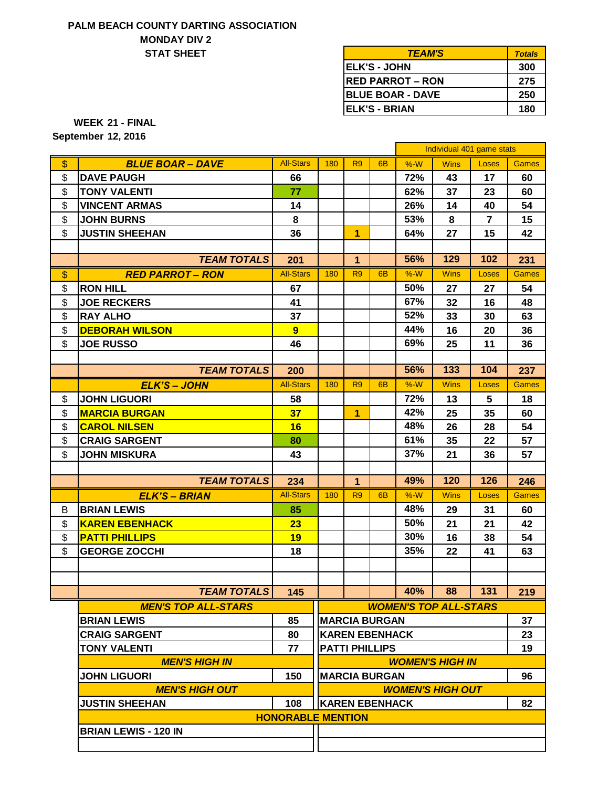## **PALM BEACH COUNTY DARTING ASSOCIATION MONDAY DIV 2 STAT SHEET**

| <b>TEAM'S</b>           | <b>Totals</b> |
|-------------------------|---------------|
| <b>IELK'S - JOHN</b>    | 300           |
| <b>RED PARROT - RON</b> | 275           |
| <b>BLUE BOAR - DAVE</b> | 250           |
| <b>IELK'S - BRIAN</b>   | 180           |

**21 - FINAL WEEK**

**12, 2016 September**

|                   |                                                    |                          |                              |                |                       |       | Individual 401 game stats |                |              |  |
|-------------------|----------------------------------------------------|--------------------------|------------------------------|----------------|-----------------------|-------|---------------------------|----------------|--------------|--|
| \$                | <b>BLUE BOAR - DAVE</b>                            | <b>All-Stars</b>         | 180                          | R <sub>9</sub> | 6 <sub>B</sub>        | $%-W$ | <b>Wins</b>               | Loses          | <b>Games</b> |  |
| \$                | <b>DAVE PAUGH</b>                                  | 66                       |                              |                |                       | 72%   | 43                        | 17             | 60           |  |
| \$                | <b>TONY VALENTI</b>                                | 77                       |                              |                |                       | 62%   | 37                        | 23             | 60           |  |
| \$                | <b>VINCENT ARMAS</b>                               | 14                       |                              |                |                       | 26%   | 14                        | 40             | 54           |  |
| \$                | <b>JOHN BURNS</b>                                  | 8                        |                              |                |                       | 53%   | 8                         | $\overline{7}$ | 15           |  |
| \$                | <b>JUSTIN SHEEHAN</b>                              | 36                       |                              | 1              |                       | 64%   | 27                        | 15             | 42           |  |
|                   |                                                    |                          |                              |                |                       |       |                           |                |              |  |
|                   | <b>TEAM TOTALS</b>                                 | 201                      |                              | 1              |                       | 56%   | 129                       | 102            | 231          |  |
| $\boldsymbol{\$}$ | <b>RED PARROT - RON</b>                            | <b>All-Stars</b>         | 180                          | R <sub>9</sub> | 6 <sub>B</sub>        | $%-W$ | <b>Wins</b>               | Loses          | <b>Games</b> |  |
| \$                | <b>RON HILL</b>                                    | 67                       |                              |                |                       | 50%   | 27                        | 27             | 54           |  |
| \$                | <b>JOE RECKERS</b>                                 | 41                       |                              |                |                       | 67%   | 32                        | 16             | 48           |  |
| \$                | <b>RAY ALHO</b>                                    | 37                       |                              |                |                       | 52%   | 33                        | 30             | 63           |  |
| \$                | <b>DEBORAH WILSON</b>                              | 9                        |                              |                |                       | 44%   | 16                        | 20             | 36           |  |
| \$                | <b>JOE RUSSO</b>                                   | 46                       |                              |                |                       | 69%   | 25                        | 11             | 36           |  |
|                   |                                                    |                          |                              |                |                       |       |                           |                |              |  |
|                   | <b>TEAM TOTALS</b>                                 | 200                      |                              |                |                       | 56%   | 133                       | 104            | 237          |  |
|                   | <b>ELK'S - JOHN</b>                                | <b>All-Stars</b>         | 180                          | R <sub>9</sub> | 6 <sub>B</sub>        | $%-W$ | <b>Wins</b>               | Loses          | <b>Games</b> |  |
| \$                | <b>JOHN LIGUORI</b>                                | 58                       |                              |                |                       | 72%   | 13                        | 5              | 18           |  |
| \$                | <b>MARCIA BURGAN</b>                               | 37                       |                              | $\overline{1}$ |                       | 42%   | 25                        | 35             | 60           |  |
| \$                | <b>CAROL NILSEN</b>                                | 16                       |                              |                |                       | 48%   | 26                        | 28             | 54           |  |
| \$                | <b>CRAIG SARGENT</b>                               | 80                       |                              |                |                       | 61%   | 35                        | 22             | 57           |  |
| \$                | <b>JOHN MISKURA</b>                                | 43                       |                              |                |                       | 37%   | 21                        | 36             | 57           |  |
|                   |                                                    |                          |                              |                |                       |       |                           |                |              |  |
|                   | <b>TEAM TOTALS</b>                                 | 234                      |                              | 1              |                       | 49%   | 120                       | 126            | 246          |  |
|                   | <b>ELK'S – BRIAN</b>                               | <b>All-Stars</b>         | 180                          | R <sub>9</sub> | 6 <sub>B</sub>        | $%-W$ | <b>Wins</b>               | Loses          | <b>Games</b> |  |
| B                 | <b>BRIAN LEWIS</b>                                 | 85                       |                              |                |                       | 48%   | 29                        | 31             | 60           |  |
| \$                | <b>KAREN EBENHACK</b>                              | 23                       |                              |                |                       | 50%   | 21                        | 21             | 42           |  |
| \$                | <b>PATTI PHILLIPS</b>                              | 19                       |                              |                |                       | 30%   | 16                        | 38             | 54           |  |
| \$                | <b>GEORGE ZOCCHI</b>                               | 18                       |                              |                |                       | 35%   | 22                        | 41             | 63           |  |
|                   |                                                    |                          |                              |                |                       |       |                           |                |              |  |
|                   |                                                    |                          |                              |                |                       |       |                           |                |              |  |
|                   | <b>TEAM TOTALS</b>                                 | 145                      |                              |                |                       | 40%   | 88                        | 131            | 219          |  |
|                   | <b>MEN'S TOP ALL-STARS</b>                         |                          | <b>WOMEN'S TOP ALL-STARS</b> |                |                       |       |                           |                |              |  |
|                   | <b>BRIAN LEWIS</b>                                 | 85                       |                              |                | <b>MARCIA BURGAN</b>  |       |                           |                | 37           |  |
|                   | <b>CRAIG SARGENT</b>                               | 80                       |                              |                | <b>KAREN EBENHACK</b> |       |                           |                | 23           |  |
|                   | <b>TONY VALENTI</b>                                | 77                       | <b>PATTI PHILLIPS</b>        |                |                       |       | 19                        |                |              |  |
|                   | <b>MEN'S HIGH IN</b>                               |                          |                              |                |                       |       | <b>WOMEN'S HIGH IN</b>    |                |              |  |
|                   | <b>JOHN LIGUORI</b><br>150<br><b>MARCIA BURGAN</b> |                          |                              |                |                       |       | 96                        |                |              |  |
|                   | <b>MEN'S HIGH OUT</b>                              |                          |                              |                |                       |       | <b>WOMEN'S HIGH OUT</b>   |                |              |  |
|                   | <b>JUSTIN SHEEHAN</b>                              | 108                      |                              |                | <b>KAREN EBENHACK</b> |       |                           |                | 82           |  |
|                   |                                                    | <b>HONORABLE MENTION</b> |                              |                |                       |       |                           |                |              |  |
|                   | <b>BRIAN LEWIS - 120 IN</b>                        |                          |                              |                |                       |       |                           |                |              |  |
|                   |                                                    |                          |                              |                |                       |       |                           |                |              |  |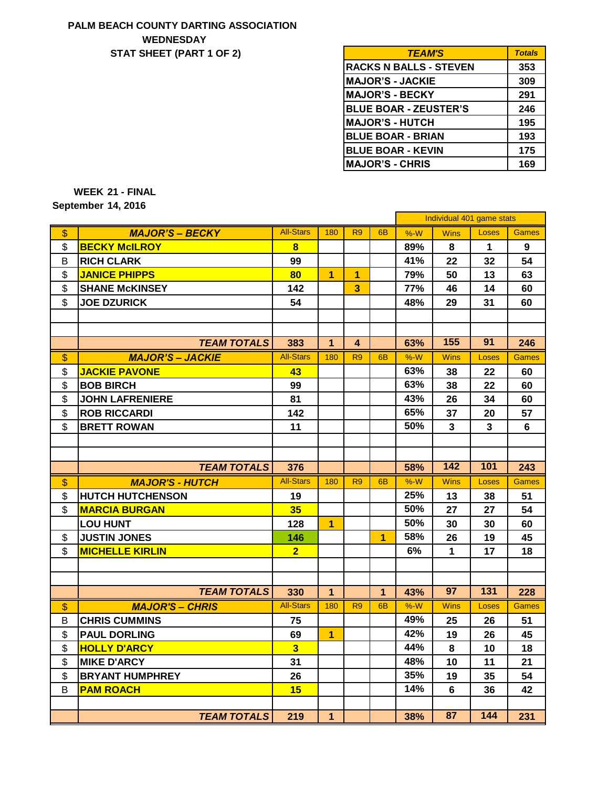# **PALM BEACH COUNTY DARTING ASSOCIATION WEDNESDAY STAT SHEET (PART 1 OF 2)**

| <b>TEAM'S</b>                 | <b>Totals</b> |
|-------------------------------|---------------|
| <b>RACKS N BALLS - STEVEN</b> | 353           |
| <b>MAJOR'S - JACKIE</b>       | 309           |
| <b>MAJOR'S - BECKY</b>        | 291           |
| <b>BLUE BOAR - ZEUSTER'S</b>  | 246           |
| <b>MAJOR'S - HUTCH</b>        | 195           |
| <b>BLUE BOAR - BRIAN</b>      | 193           |
| <b>BLUE BOAR - KEVIN</b>      | 175           |
| <b>MAJOR'S - CHRIS</b>        | 169           |

**21 - FINAL WEEK 14, 2016 September**

|               |                         |                  |                |                         |                | Individual 401 game stats |              |              |              |
|---------------|-------------------------|------------------|----------------|-------------------------|----------------|---------------------------|--------------|--------------|--------------|
| \$            | <b>MAJOR'S - BECKY</b>  | <b>All-Stars</b> | 180            | R <sub>9</sub>          | 6B             | $%-W$                     | <b>Wins</b>  | <b>Loses</b> | <b>Games</b> |
| \$            | <b>BECKY McILROY</b>    | 8                |                |                         |                | 89%                       | 8            | $\mathbf 1$  | 9            |
| B             | <b>RICH CLARK</b>       | 99               |                |                         |                | 41%                       | 22           | 32           | 54           |
| \$            | <b>JANICE PHIPPS</b>    | 80               | $\overline{1}$ | $\overline{1}$          |                | 79%                       | 50           | 13           | 63           |
| \$            | <b>SHANE McKINSEY</b>   | 142              |                | $\overline{\mathbf{3}}$ |                | 77%                       | 46           | 14           | 60           |
| \$            | <b>JOE DZURICK</b>      | 54               |                |                         |                | 48%                       | 29           | 31           | 60           |
|               |                         |                  |                |                         |                |                           |              |              |              |
|               |                         |                  |                |                         |                |                           |              |              |              |
|               | <b>TEAM TOTALS</b>      | 383              | 1              | 4                       |                | 63%                       | 155          | 91           | 246          |
| $\mathsf{\$}$ | <b>MAJOR'S - JACKIE</b> | <b>All-Stars</b> | 180            | R <sub>9</sub>          | 6 <sub>B</sub> | $%-W$                     | <b>Wins</b>  | Loses        | <b>Games</b> |
| \$            | <b>JACKIE PAVONE</b>    | 43               |                |                         |                | 63%                       | 38           | 22           | 60           |
| \$            | <b>BOB BIRCH</b>        | 99               |                |                         |                | 63%                       | 38           | 22           | 60           |
| \$            | <b>JOHN LAFRENIERE</b>  | 81               |                |                         |                | 43%                       | 26           | 34           | 60           |
| \$            | <b>ROB RICCARDI</b>     | 142              |                |                         |                | 65%                       | 37           | 20           | 57           |
| \$            | <b>BRETT ROWAN</b>      | 11               |                |                         |                | 50%                       | 3            | 3            | 6            |
|               |                         |                  |                |                         |                |                           |              |              |              |
|               |                         |                  |                |                         |                |                           |              |              |              |
|               | <b>TEAM TOTALS</b>      | 376              |                |                         |                | 58%                       | 142          | 101          | 243          |
| $\mathsf{\$}$ | <b>MAJOR'S - HUTCH</b>  | <b>All-Stars</b> | 180            | R <sub>9</sub>          | 6B             | $%-W$                     | <b>Wins</b>  | Loses        | <b>Games</b> |
| \$            | <b>HUTCH HUTCHENSON</b> | 19               |                |                         |                | 25%                       | 13           | 38           | 51           |
| \$            | <b>MARCIA BURGAN</b>    | 35               |                |                         |                | 50%                       | 27           | 27           | 54           |
|               | <b>LOU HUNT</b>         | 128              | $\overline{1}$ |                         |                | 50%                       | 30           | 30           | 60           |
| \$            | <b>JUSTIN JONES</b>     | 146              |                |                         | $\overline{1}$ | 58%                       | 26           | 19           | 45           |
| \$            | <b>MICHELLE KIRLIN</b>  | 2 <sup>1</sup>   |                |                         |                | 6%                        | $\mathbf{1}$ | 17           | 18           |
|               |                         |                  |                |                         |                |                           |              |              |              |
|               |                         |                  |                |                         |                |                           |              |              |              |
|               | <b>TEAM TOTALS</b>      | 330              | 1              |                         | $\mathbf{1}$   | 43%                       | 97           | 131          | 228          |
| $\frac{1}{2}$ | <b>MAJOR'S - CHRIS</b>  | <b>All-Stars</b> | 180            | R <sub>9</sub>          | 6 <sub>B</sub> | $%-W$                     | <b>Wins</b>  | <b>Loses</b> | <b>Games</b> |
| B             | <b>CHRIS CUMMINS</b>    | 75               |                |                         |                | 49%                       | 25           | 26           | 51           |
| \$            | <b>PAUL DORLING</b>     | 69               | $\overline{1}$ |                         |                | 42%                       | 19           | 26           | 45           |
| \$            | <b>HOLLY D'ARCY</b>     | $\overline{3}$   |                |                         |                | 44%                       | 8            | 10           | 18           |
| \$            | <b>MIKE D'ARCY</b>      | 31               |                |                         |                | 48%                       | 10           | 11           | 21           |
| \$            | <b>BRYANT HUMPHREY</b>  | 26               |                |                         |                | 35%                       | 19           | 35           | 54           |
| B             | <b>PAM ROACH</b>        | 15               |                |                         |                | 14%                       | 6            | 36           | 42           |
|               |                         |                  |                |                         |                |                           |              |              |              |
|               | <b>TEAM TOTALS</b>      | 219              | $\mathbf{1}$   |                         |                | 38%                       | 87           | 144          | 231          |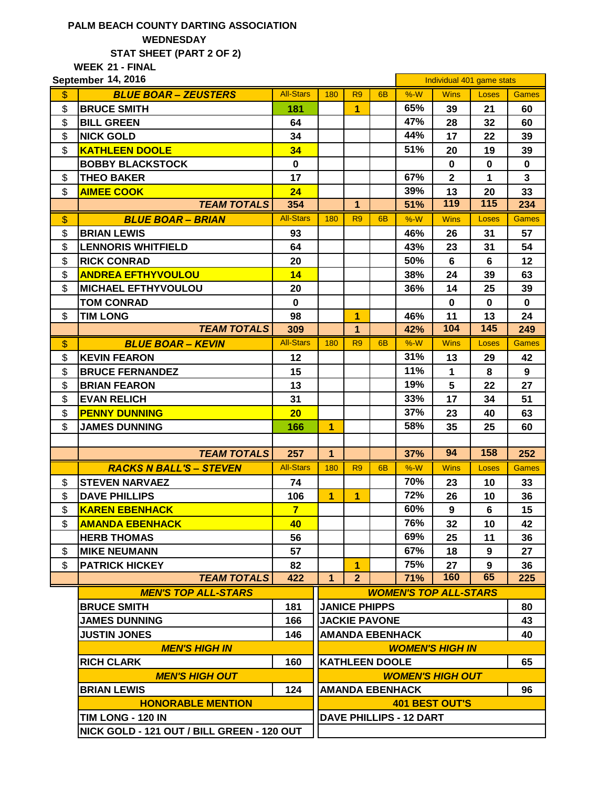## **PALM BEACH COUNTY DARTING ASSOCIATION WEDNESDAY STAT SHEET (PART 2 OF 2)**

**21 - FINAL WEEK**

|               | September 14, 2016                                |                  |                                                         |                       |                |                        | Individual 401 game stats |                  |                         |  |  |
|---------------|---------------------------------------------------|------------------|---------------------------------------------------------|-----------------------|----------------|------------------------|---------------------------|------------------|-------------------------|--|--|
| \$            | <b>BLUE BOAR - ZEUSTERS</b>                       | <b>All-Stars</b> | 180                                                     | R <sub>9</sub>        | 6 <sub>B</sub> | $%-W$                  | <b>Wins</b>               | Loses            | <b>Games</b>            |  |  |
| \$            | <b>BRUCE SMITH</b>                                | 181              |                                                         | $\overline{1}$        |                | 65%                    | 39                        | 21               | 60                      |  |  |
| \$            | <b>BILL GREEN</b>                                 | 64               |                                                         |                       |                | 47%                    | 28                        | 32               | 60                      |  |  |
| \$            | <b>NICK GOLD</b>                                  | 34               |                                                         |                       |                | 44%                    | 17                        | 22               | 39                      |  |  |
| \$            | <b>KATHLEEN DOOLE</b>                             | 34               |                                                         |                       |                | 51%                    | 20                        | 19               | 39                      |  |  |
|               | <b>BOBBY BLACKSTOCK</b>                           | $\bf{0}$         |                                                         |                       |                |                        | $\mathbf 0$               | $\mathbf 0$      | $\mathbf 0$             |  |  |
| \$            | <b>THEO BAKER</b>                                 | 17               |                                                         |                       |                | 67%                    | $\overline{2}$            | 1                | $\overline{\mathbf{3}}$ |  |  |
| \$            | <b>AIMEE COOK</b>                                 | 24               |                                                         |                       |                | 39%                    | 13                        | 20               | 33                      |  |  |
|               | <b>TEAM TOTALS</b>                                | 354              |                                                         | $\mathbf{1}$          |                | 51%                    | 119                       | 115              | 234                     |  |  |
| \$            | <b>BLUE BOAR - BRIAN</b>                          | <b>All-Stars</b> | 180                                                     | R <sub>9</sub>        | 6 <sub>B</sub> | $%-W$                  | <b>Wins</b>               | Loses            | <b>Games</b>            |  |  |
| \$            | <b>BRIAN LEWIS</b>                                | 93               |                                                         |                       |                | 46%                    | 26                        | 31               | 57                      |  |  |
| \$            | <b>LENNORIS WHITFIELD</b>                         | 64               |                                                         |                       |                | 43%                    | 23                        | 31               | 54                      |  |  |
| \$            | <b>RICK CONRAD</b>                                | 20               |                                                         |                       |                | 50%                    | 6                         | 6                | 12                      |  |  |
| \$            | <b>ANDREA EFTHYVOULOU</b>                         | 14               |                                                         |                       |                | 38%                    | 24                        | 39               | 63                      |  |  |
| \$            | <b>MICHAEL EFTHYVOULOU</b>                        | 20               |                                                         |                       |                | 36%                    | 14                        | 25               | 39                      |  |  |
|               | <b>TOM CONRAD</b>                                 | $\mathbf 0$      |                                                         |                       |                |                        | $\mathbf 0$               | $\mathbf 0$      | $\mathbf 0$             |  |  |
| \$            | <b>TIM LONG</b>                                   | 98               |                                                         | 1                     |                | 46%                    | 11                        | 13               | 24                      |  |  |
|               | <b>TEAM TOTALS</b>                                | 309              |                                                         | $\mathbf{1}$          |                | 42%                    | 104                       | $\overline{145}$ | 249                     |  |  |
| $\frac{1}{2}$ | <b>BLUE BOAR - KEVIN</b>                          | <b>All-Stars</b> | 180                                                     | R <sub>9</sub>        | 6 <sub>B</sub> | $%-W$                  | <b>Wins</b>               | <b>Loses</b>     | <b>Games</b>            |  |  |
| \$            | <b>KEVIN FEARON</b>                               | 12               |                                                         |                       |                | 31%                    | 13                        | 29               | 42                      |  |  |
| \$            | <b>BRUCE FERNANDEZ</b>                            | 15               |                                                         |                       |                | 11%                    | $\mathbf{1}$              | 8                | $\mathbf{9}$            |  |  |
| \$            | <b>BRIAN FEARON</b>                               | 13               |                                                         |                       |                | 19%                    | 5                         | 22               | 27                      |  |  |
| \$            | <b>EVAN RELICH</b>                                | 31               |                                                         |                       |                | 33%                    | 17                        | 34               | 51                      |  |  |
| \$            | <b>PENNY DUNNING</b>                              | 20               |                                                         |                       |                | 37%                    | 23                        | 40               | 63                      |  |  |
| \$            | <b>JAMES DUNNING</b>                              | 166              | $\overline{1}$                                          |                       |                | 58%                    | 35                        | 25               | 60                      |  |  |
|               |                                                   |                  |                                                         |                       |                |                        |                           |                  |                         |  |  |
|               | <b>TEAM TOTALS</b>                                | 257              | $\mathbf{1}$                                            |                       |                | 37%                    | 94                        | 158              | 252                     |  |  |
|               | <b>RACKS N BALL'S - STEVEN</b>                    | <b>All-Stars</b> | 180                                                     | R <sub>9</sub>        | 6 <sub>B</sub> | $%-W$                  | <b>Wins</b>               | Loses            | <b>Games</b>            |  |  |
| \$            | <b>STEVEN NARVAEZ</b>                             | 74               |                                                         |                       |                | 70%                    | 23                        | 10               | 33                      |  |  |
| \$            | <b>DAVE PHILLIPS</b>                              | 106              | $\overline{1}$                                          | $\overline{1}$        |                | 72%                    | 26                        | 10               | 36                      |  |  |
| \$            | <b>KAREN EBENHACK</b>                             | $\overline{7}$   |                                                         |                       |                | 60%                    | 9                         | 6                | 15                      |  |  |
| \$            | <b>AMANDA EBENHACK</b>                            | 40               |                                                         |                       |                | 76%                    | 32                        | 10               | 42                      |  |  |
|               | <b>HERB THOMAS</b>                                | 56               |                                                         |                       |                | 69%                    | 25                        | 11               | 36                      |  |  |
| \$            | <b>MIKE NEUMANN</b>                               | 57               |                                                         |                       |                | 67%                    | 18                        | 9                | 27                      |  |  |
| \$            | <b>PATRICK HICKEY</b>                             | 82               |                                                         | $\overline{1}$        |                | 75%                    | 27                        | 9                | 36                      |  |  |
|               | <b>TEAM TOTALS</b>                                | 422              | 1                                                       | $\mathbf{2}$          |                | 71%                    | 160                       | 65               | 225                     |  |  |
|               | <b>MEN'S TOP ALL-STARS</b>                        |                  | <b>WOMEN'S TOP ALL-STARS</b>                            |                       |                |                        |                           |                  |                         |  |  |
|               | <b>BRUCE SMITH</b><br>181<br><b>JANICE PHIPPS</b> |                  |                                                         |                       |                | 80                     |                           |                  |                         |  |  |
|               | <b>JAMES DUNNING</b>                              | 166              |                                                         | <b>JACKIE PAVONE</b>  |                |                        |                           |                  | 43                      |  |  |
|               | <b>JUSTIN JONES</b>                               | 146              |                                                         |                       |                | <b>AMANDA EBENHACK</b> |                           |                  | 40                      |  |  |
|               | <b>MEN'S HIGH IN</b>                              |                  |                                                         |                       |                |                        | <b>WOMEN'S HIGH IN</b>    |                  |                         |  |  |
|               | <b>RICH CLARK</b>                                 | 160              |                                                         | <b>KATHLEEN DOOLE</b> |                |                        |                           |                  | 65                      |  |  |
|               | <b>MEN'S HIGH OUT</b>                             |                  |                                                         |                       |                |                        |                           |                  |                         |  |  |
|               | <b>BRIAN LEWIS</b>                                | 124              | <b>WOMEN'S HIGH OUT</b><br><b>AMANDA EBENHACK</b><br>96 |                       |                |                        |                           |                  |                         |  |  |
|               | <b>HONORABLE MENTION</b>                          |                  |                                                         |                       |                |                        |                           |                  |                         |  |  |
|               | TIM LONG - 120 IN                                 |                  | <b>401 BEST OUT'S</b><br><b>DAVE PHILLIPS - 12 DART</b> |                       |                |                        |                           |                  |                         |  |  |
|               | NICK GOLD - 121 OUT / BILL GREEN - 120 OUT        |                  |                                                         |                       |                |                        |                           |                  |                         |  |  |
|               |                                                   |                  |                                                         |                       |                |                        |                           |                  |                         |  |  |